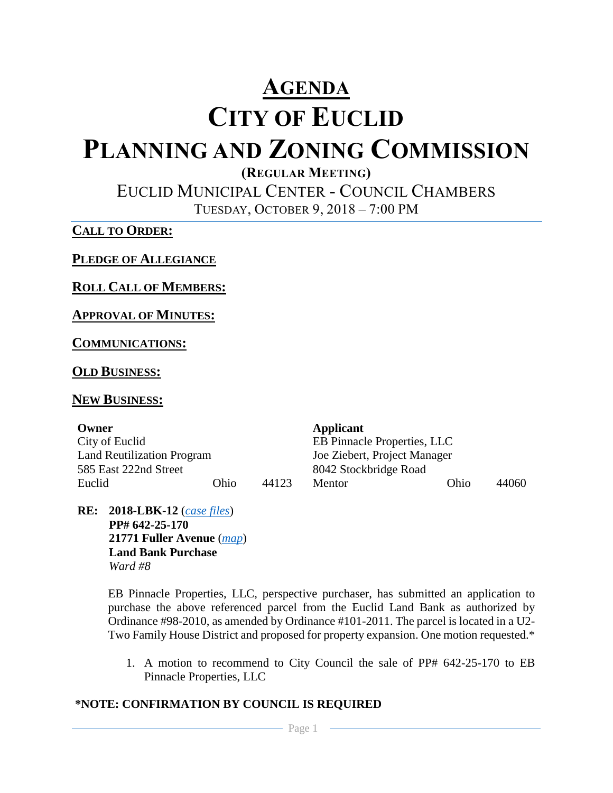# **AGENDA**

# **CITY OF EUCLID**

# **PLANNING AND ZONING COMMISSION**

**(REGULAR MEETING)**

EUCLID MUNICIPAL CENTER - COUNCIL CHAMBERS TUESDAY, OCTOBER 9, 2018 – 7:00 PM

**CALL TO ORDER:**

**PLEDGE OF ALLEGIANCE**

**ROLL CALL OF MEMBERS:**

# **APPROVAL OF MINUTES:**

**COMMUNICATIONS:**

# **OLD BUSINESS:**

# **NEW BUSINESS:**

| Owner                             |      |       | Applicant                          |      |       |  |
|-----------------------------------|------|-------|------------------------------------|------|-------|--|
| City of Euclid                    |      |       | <b>EB Pinnacle Properties, LLC</b> |      |       |  |
| <b>Land Reutilization Program</b> |      |       | Joe Ziebert, Project Manager       |      |       |  |
| 585 East 222nd Street             |      |       | 8042 Stockbridge Road              |      |       |  |
| Euclid                            | Ohio | 44123 | Mentor                             | Ohio | 44060 |  |

**RE: 2018-LBK-12** (*[case files](http://www.cityofeuclid.com/uploads/Scanned_PZ_Files/21771_Fuller_Avenue_-_LBK.pdf)*) **PP# 642-25-170 21771 Fuller Avenue** (*[map](https://goo.gl/maps/vXM2SdtMCxo)*) **Land Bank Purchase** *Ward #8*

> EB Pinnacle Properties, LLC, perspective purchaser, has submitted an application to purchase the above referenced parcel from the Euclid Land Bank as authorized by Ordinance #98-2010, as amended by Ordinance #101-2011. The parcel is located in a U2- Two Family House District and proposed for property expansion. One motion requested.\*

1. A motion to recommend to City Council the sale of PP# 642-25-170 to EB Pinnacle Properties, LLC

# **\*NOTE: CONFIRMATION BY COUNCIL IS REQUIRED**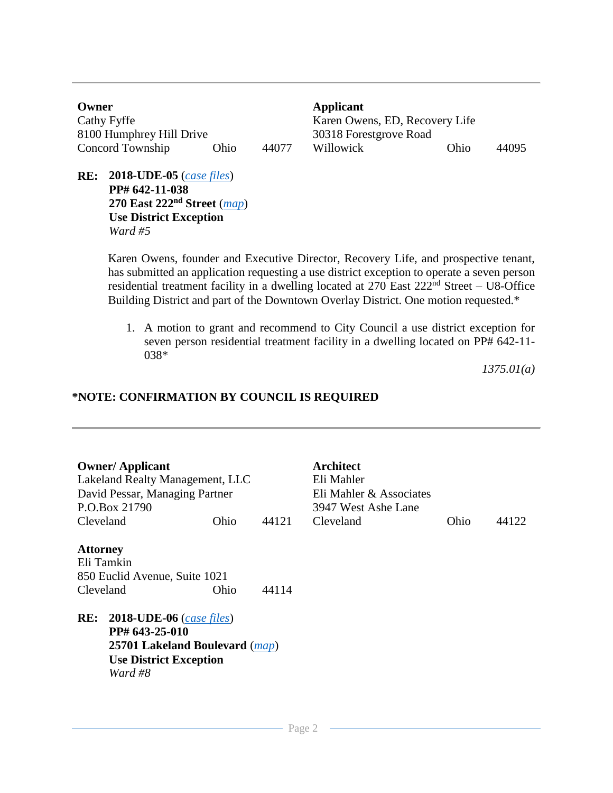**Owner Applicant** Cathy Fyffe Karen Owens, ED, Recovery Life 8100 Humphrey Hill Drive 30318 Forestgrove Road Concord Township Ohio 44077 Willowick Ohio 44095

**RE: 2018-UDE-05** (*[case files](http://www.cityofeuclid.com/uploads/Scanned_PZ_Files/270_East_222_-_UDE.pdf)*) **PP# 642-11-038 270 East 222nd Street** (*[map](https://goo.gl/maps/vJiuxT5iDT22)*) **Use District Exception** *Ward #5*

> Karen Owens, founder and Executive Director, Recovery Life, and prospective tenant, has submitted an application requesting a use district exception to operate a seven person residential treatment facility in a dwelling located at 270 East 222<sup>nd</sup> Street – U8-Office Building District and part of the Downtown Overlay District. One motion requested.\*

1. A motion to grant and recommend to City Council a use district exception for seven person residential treatment facility in a dwelling located on PP# 642-11- 038\*

*1375.01(a)*

### **\*NOTE: CONFIRMATION BY COUNCIL IS REQUIRED**

| <b>Owner/Applicant</b><br>David Pessar, Managing Partner<br>P.O.Box 21790   | Lakeland Realty Management, LLC                                                                |       | <b>Architect</b><br>Eli Mahler<br>Eli Mahler & Associates<br>3947 West Ashe Lane |      |       |
|-----------------------------------------------------------------------------|------------------------------------------------------------------------------------------------|-------|----------------------------------------------------------------------------------|------|-------|
| Cleveland                                                                   | Ohio                                                                                           | 44121 | Cleveland                                                                        | Ohio | 44122 |
| <b>Attorney</b><br>Eli Tamkin<br>850 Euclid Avenue, Suite 1021<br>Cleveland | Ohio                                                                                           | 44114 |                                                                                  |      |       |
| RE:<br>PP# 643-25-010<br>Ward #8                                            | $2018$ -UDE-06 (case files)<br>25701 Lakeland Boulevard (map)<br><b>Use District Exception</b> |       |                                                                                  |      |       |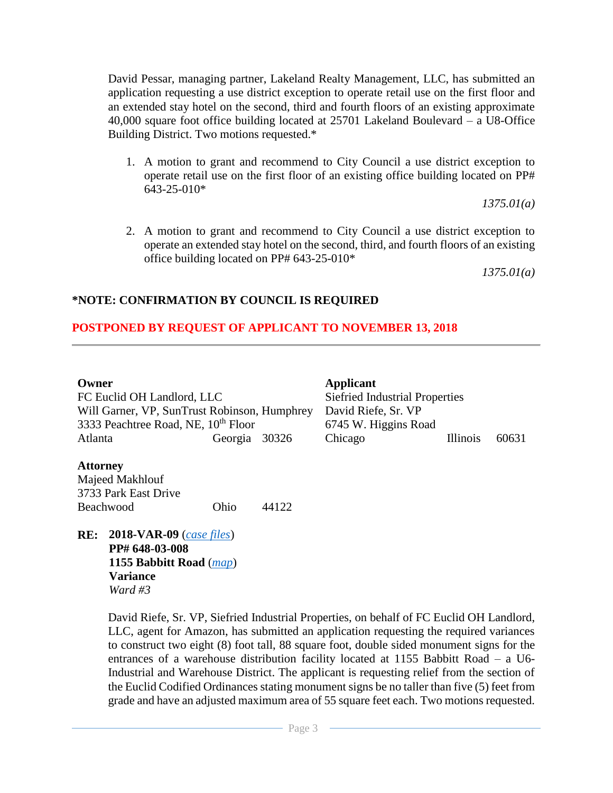David Pessar, managing partner, Lakeland Realty Management, LLC, has submitted an application requesting a use district exception to operate retail use on the first floor and an extended stay hotel on the second, third and fourth floors of an existing approximate 40,000 square foot office building located at 25701 Lakeland Boulevard – a U8-Office Building District. Two motions requested.\*

1. A motion to grant and recommend to City Council a use district exception to operate retail use on the first floor of an existing office building located on PP# 643-25-010\*

*1375.01(a)*

2. A motion to grant and recommend to City Council a use district exception to operate an extended stay hotel on the second, third, and fourth floors of an existing office building located on PP# 643-25-010\*

*1375.01(a)*

#### **\*NOTE: CONFIRMATION BY COUNCIL IS REQUIRED**

#### **POSTPONED BY REQUEST OF APPLICANT TO NOVEMBER 13, 2018**

FC Euclid OH Landlord, LLC Will Garner, VP, SunTrust Robinson, Humphrey 3333 Peachtree Road, NE, 10<sup>th</sup> Floor 6745 W. Higgins Road Atlanta Georgia 30326 Chicago Illinois 60631

**Owner Applicant** Siefried Industrial Properties David Riefe, Sr. VP

#### **Attorney**

Majeed Makhlouf 3733 Park East Drive Beachwood Ohio 44122

**RE: 2018-VAR-09** (*[case files](http://www.cityofeuclid.com/uploads/Scanned_PZ_Files/Amazon_Signs.pdf)*) **PP# 648-03-008 1155 Babbitt Road** (*[map](https://goo.gl/maps/w3mcXGSg5R62)*) **Variance** *Ward #3*

> David Riefe, Sr. VP, Siefried Industrial Properties, on behalf of FC Euclid OH Landlord, LLC, agent for Amazon, has submitted an application requesting the required variances to construct two eight (8) foot tall, 88 square foot, double sided monument signs for the entrances of a warehouse distribution facility located at 1155 Babbitt Road – a U6- Industrial and Warehouse District. The applicant is requesting relief from the section of the Euclid Codified Ordinances stating monument signs be no taller than five (5) feet from grade and have an adjusted maximum area of 55 square feet each. Two motions requested.